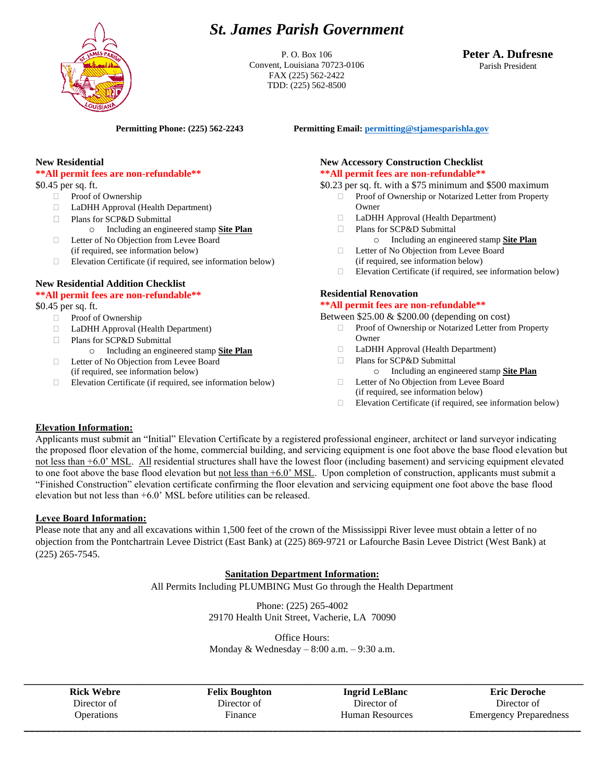# *St. James Parish Government*



P. O. Box 106 Convent, Louisiana 70723-0106 FAX (225) 562-2422 TDD: (225) 562-8500

# **Peter A. Dufresne** Parish President

**Permitting Phone: (225) 562-2243 Permitting Email[: permitting@stjamesparishla.gov](mailto:permitting@stjamesparishla.gov)**

# **New Residential**

# **\*\*All permit fees are non-refundable\*\***

\$0.45 per sq. ft.

- **Proof of Ownership**
- LaDHH Approval (Health Department)
- □ Plans for SCP&D Submittal

o Including an engineered stamp **Site Plan**

- Letter of No Objection from Levee Board (if required, see information below)
- Elevation Certificate (if required, see information below)

# **New Residential Addition Checklist**

## **\*\*All permit fees are non-refundable\*\***

\$0.45 per sq. ft.

- **Proof of Ownership**
- LaDHH Approval (Health Department)
- Plans for SCP&D Submittal
	- o Including an engineered stamp **Site Plan**
- □ Letter of No Objection from Levee Board (if required, see information below)
- $\Box$  Elevation Certificate (if required, see information below)

# **New Accessory Construction Checklist \*\*All permit fees are non-refundable\*\***

\$0.23 per sq. ft. with a \$75 minimum and \$500 maximum

- Proof of Ownership or Notarized Letter from Property Owner
- LaDHH Approval (Health Department)
- □ Plans for SCP&D Submittal o Including an engineered stamp **Site Plan**
- □ Letter of No Objection from Levee Board (if required, see information below)
- Elevation Certificate (if required, see information below)

# **Residential Renovation**

#### **\*\*All permit fees are non-refundable\*\***

Between \$25.00 & \$200.00 (depending on cost)

- Proof of Ownership or Notarized Letter from Property Owner
- LaDHH Approval (Health Department)
- □ Plans for SCP&D Submittal o Including an engineered stamp **Site Plan**
- □ Letter of No Objection from Levee Board (if required, see information below)
- Elevation Certificate (if required, see information below)

## **Elevation Information:**

Applicants must submit an "Initial" Elevation Certificate by a registered professional engineer, architect or land surveyor indicating the proposed floor elevation of the home, commercial building, and servicing equipment is one foot above the base flood elevation but not less than +6.0' MSL. All residential structures shall have the lowest floor (including basement) and servicing equipment elevated to one foot above the base flood elevation but not less than  $+6.0$ ' MSL. Upon completion of construction, applicants must submit a "Finished Construction" elevation certificate confirming the floor elevation and servicing equipment one foot above the base flood elevation but not less than +6.0' MSL before utilities can be released.

## **Levee Board Information:**

Please note that any and all excavations within 1,500 feet of the crown of the Mississippi River levee must obtain a letter of no objection from the Pontchartrain Levee District (East Bank) at (225) 869-9721 or Lafourche Basin Levee District (West Bank) at (225) 265-7545.

## **Sanitation Department Information:**

All Permits Including PLUMBING Must Go through the Health Department

Phone: (225) 265-4002 29170 Health Unit Street, Vacherie, LA 70090

Office Hours: Monday & Wednesday  $-8:00$  a.m.  $-9:30$  a.m.

**\_\_\_\_\_\_\_\_\_\_\_\_\_\_\_\_\_\_\_\_\_\_\_\_\_\_\_\_\_\_\_\_\_\_\_\_\_\_\_\_\_\_\_\_\_\_\_\_\_\_\_\_\_\_\_\_\_\_\_\_\_\_\_\_\_\_\_\_\_\_\_\_\_\_\_\_\_\_\_\_\_\_\_\_\_\_\_\_\_\_\_\_\_\_\_\_\_\_\_\_\_\_\_ Rick Webre** Director of **Operations** 

**Felix Boughton** Director of Finance

**Ingrid LeBlanc** Director of Human Resources **\_\_\_\_\_\_\_\_\_\_\_\_\_\_\_\_\_\_\_\_\_\_\_\_\_\_\_\_\_\_\_\_\_\_\_\_\_\_\_\_\_\_\_\_\_\_\_\_\_\_\_\_\_\_\_\_\_\_\_\_\_\_\_\_\_\_\_\_\_\_\_\_\_\_\_\_\_\_\_\_\_\_\_\_\_\_\_\_\_\_\_\_\_\_\_\_\_\_\_\_\_\_\_**

**Eric Deroche** Director of Emergency Preparedness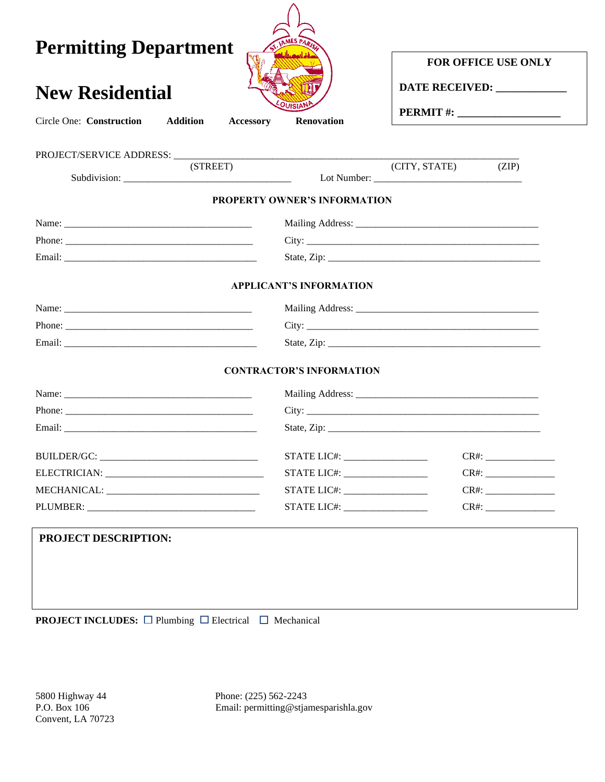| <b>Permitting Department</b><br><b>New Residential</b><br><b>Addition</b><br>Circle One: Construction<br>Accessory | <b>Renovation</b>               | <b>FOR OFFICE USE ONLY</b><br>DATE RECEIVED: ______________ |  |  |  |  |  |
|--------------------------------------------------------------------------------------------------------------------|---------------------------------|-------------------------------------------------------------|--|--|--|--|--|
| (STREET)                                                                                                           |                                 | (CITY, STATE)<br>(ZIP)                                      |  |  |  |  |  |
|                                                                                                                    |                                 |                                                             |  |  |  |  |  |
|                                                                                                                    | PROPERTY OWNER'S INFORMATION    |                                                             |  |  |  |  |  |
|                                                                                                                    |                                 |                                                             |  |  |  |  |  |
|                                                                                                                    |                                 |                                                             |  |  |  |  |  |
|                                                                                                                    |                                 |                                                             |  |  |  |  |  |
|                                                                                                                    | <b>APPLICANT'S INFORMATION</b>  |                                                             |  |  |  |  |  |
|                                                                                                                    |                                 |                                                             |  |  |  |  |  |
|                                                                                                                    |                                 |                                                             |  |  |  |  |  |
|                                                                                                                    |                                 |                                                             |  |  |  |  |  |
|                                                                                                                    | <b>CONTRACTOR'S INFORMATION</b> |                                                             |  |  |  |  |  |
|                                                                                                                    |                                 |                                                             |  |  |  |  |  |
|                                                                                                                    |                                 |                                                             |  |  |  |  |  |
|                                                                                                                    |                                 |                                                             |  |  |  |  |  |
|                                                                                                                    | STATE LIC#: ___________________ |                                                             |  |  |  |  |  |
|                                                                                                                    | STATE LIC#: ___________________ |                                                             |  |  |  |  |  |
|                                                                                                                    |                                 | $CR#$ :                                                     |  |  |  |  |  |
|                                                                                                                    |                                 | $CR#$ :                                                     |  |  |  |  |  |
| PROJECT DESCRIPTION:                                                                                               |                                 |                                                             |  |  |  |  |  |
|                                                                                                                    |                                 |                                                             |  |  |  |  |  |
|                                                                                                                    |                                 |                                                             |  |  |  |  |  |
|                                                                                                                    |                                 |                                                             |  |  |  |  |  |
| <b>PROJECT INCLUDES:</b> $\Box$ Plumbing $\Box$ Electrical $\Box$ Mechanical                                       |                                 |                                                             |  |  |  |  |  |

5800 Highway 44 Phone: (225) 562-2243 P.O. Box 106 Email: permitting@stjamesparishla.gov